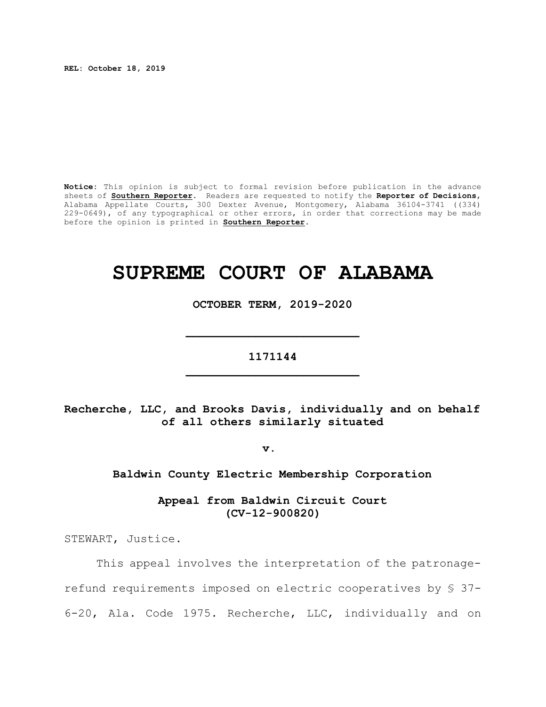**REL: October 18, 2019**

**Notice:** This opinion is subject to formal revision before publication in the advance sheets of **Southern Reporter**. Readers are requested to notify the **Reporter of Decisions**, Alabama Appellate Courts, 300 Dexter Avenue, Montgomery, Alabama 36104-3741 ((334) 229-0649), of any typographical or other errors, in order that corrections may be made before the opinion is printed in **Southern Reporter**.

# **SUPREME COURT OF ALABAMA**

**OCTOBER TERM, 2019-2020**

**\_\_\_\_\_\_\_\_\_\_\_\_\_\_\_\_\_\_\_\_\_\_\_\_\_**

**1171144 \_\_\_\_\_\_\_\_\_\_\_\_\_\_\_\_\_\_\_\_\_\_\_\_\_**

**Recherche, LLC, and Brooks Davis, individually and on behalf of all others similarly situated**

**v.** 

**Baldwin County Electric Membership Corporation**

**Appeal from Baldwin Circuit Court (CV-12-900820)**

STEWART, Justice.

This appeal involves the interpretation of the patronagerefund requirements imposed on electric cooperatives by § 37- 6-20, Ala. Code 1975. Recherche, LLC, individually and on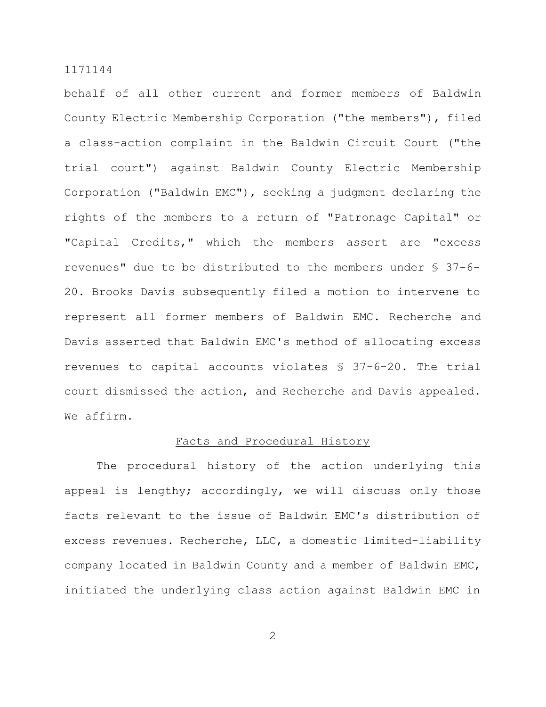behalf of all other current and former members of Baldwin County Electric Membership Corporation ("the members"), filed a class-action complaint in the Baldwin Circuit Court ("the trial court") against Baldwin County Electric Membership Corporation ("Baldwin EMC"), seeking a judgment declaring the rights of the members to a return of "Patronage Capital" or "Capital Credits," which the members assert are "excess revenues" due to be distributed to the members under § 37-6- 20. Brooks Davis subsequently filed a motion to intervene to represent all former members of Baldwin EMC. Recherche and Davis asserted that Baldwin EMC's method of allocating excess revenues to capital accounts violates § 37-6-20. The trial court dismissed the action, and Recherche and Davis appealed. We affirm.

# Facts and Procedural History

The procedural history of the action underlying this appeal is lengthy; accordingly, we will discuss only those facts relevant to the issue of Baldwin EMC's distribution of excess revenues. Recherche, LLC, a domestic limited-liability company located in Baldwin County and a member of Baldwin EMC, initiated the underlying class action against Baldwin EMC in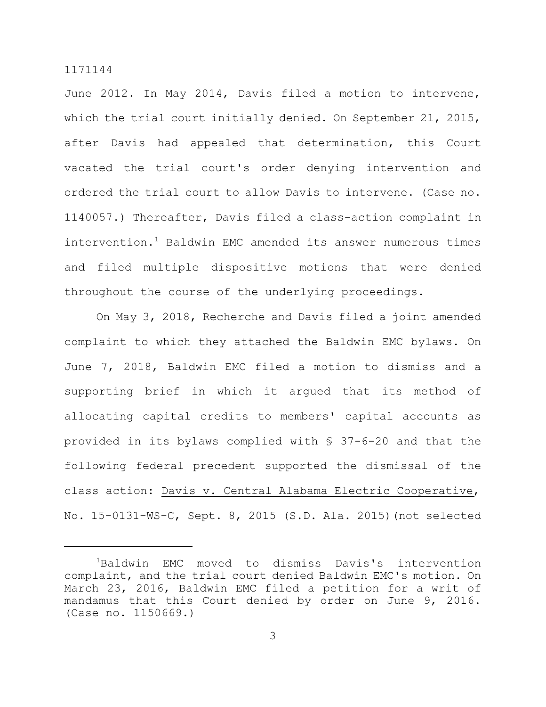June 2012. In May 2014, Davis filed a motion to intervene, which the trial court initially denied. On September 21, 2015, after Davis had appealed that determination, this Court vacated the trial court's order denying intervention and ordered the trial court to allow Davis to intervene. (Case no. 1140057.) Thereafter, Davis filed a class-action complaint in intervention.<sup>1</sup> Baldwin EMC amended its answer numerous times and filed multiple dispositive motions that were denied throughout the course of the underlying proceedings.

On May 3, 2018, Recherche and Davis filed a joint amended complaint to which they attached the Baldwin EMC bylaws. On June 7, 2018, Baldwin EMC filed a motion to dismiss and a supporting brief in which it argued that its method of allocating capital credits to members' capital accounts as provided in its bylaws complied with § 37-6-20 and that the following federal precedent supported the dismissal of the class action: Davis v. Central Alabama Electric Cooperative, No. 15-0131-WS-C, Sept. 8, 2015 (S.D. Ala. 2015)(not selected

<sup>&</sup>lt;sup>1</sup>Baldwin EMC moved to dismiss Davis's intervention complaint, and the trial court denied Baldwin EMC's motion. On March 23, 2016, Baldwin EMC filed a petition for a writ of mandamus that this Court denied by order on June 9, 2016. (Case no. 1150669.)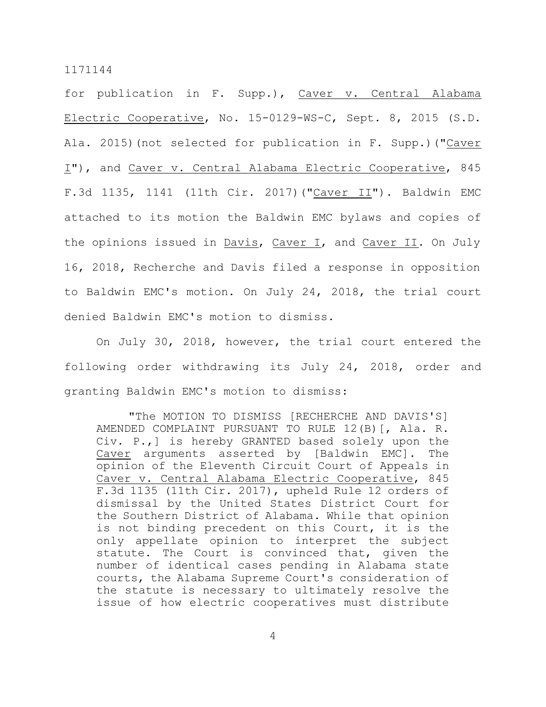for publication in F. Supp.), Caver v. Central Alabama Electric Cooperative, No. 15-0129-WS-C, Sept. 8, 2015 (S.D. Ala. 2015)(not selected for publication in F. Supp.)("Caver I"), and Caver v. Central Alabama Electric Cooperative, 845 F.3d 1135, 1141 (11th Cir. 2017)("Caver II"). Baldwin EMC attached to its motion the Baldwin EMC bylaws and copies of the opinions issued in Davis, Caver I, and Caver II. On July 16, 2018, Recherche and Davis filed a response in opposition to Baldwin EMC's motion. On July 24, 2018, the trial court denied Baldwin EMC's motion to dismiss.

On July 30, 2018, however, the trial court entered the following order withdrawing its July 24, 2018, order and granting Baldwin EMC's motion to dismiss:

"The MOTION TO DISMISS [RECHERCHE AND DAVIS'S] AMENDED COMPLAINT PURSUANT TO RULE 12(B)[, Ala. R. Civ. P.,] is hereby GRANTED based solely upon the Caver arguments asserted by [Baldwin EMC]. The opinion of the Eleventh Circuit Court of Appeals in Caver v. Central Alabama Electric Cooperative, 845 F.3d 1135 (11th Cir. 2017), upheld Rule 12 orders of dismissal by the United States District Court for the Southern District of Alabama. While that opinion is not binding precedent on this Court, it is the only appellate opinion to interpret the subject statute. The Court is convinced that, given the number of identical cases pending in Alabama state courts, the Alabama Supreme Court's consideration of the statute is necessary to ultimately resolve the issue of how electric cooperatives must distribute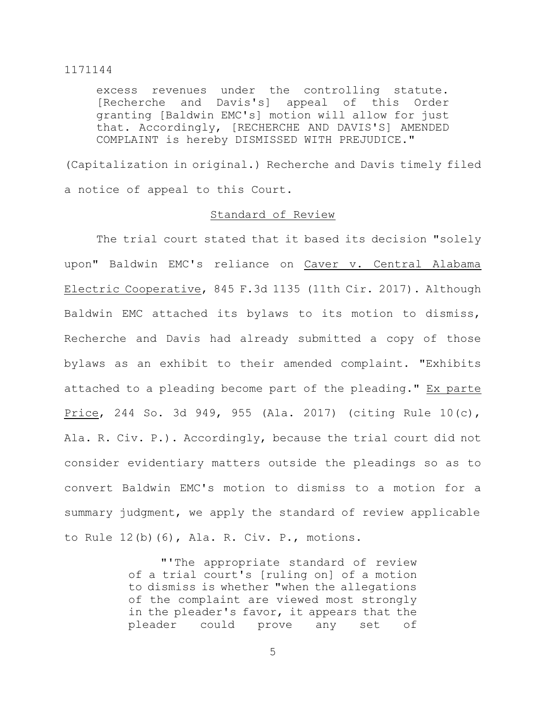excess revenues under the controlling statute. [Recherche and Davis's] appeal of this Order granting [Baldwin EMC's] motion will allow for just that. Accordingly, [RECHERCHE AND DAVIS'S] AMENDED COMPLAINT is hereby DISMISSED WITH PREJUDICE."

(Capitalization in original.) Recherche and Davis timely filed a notice of appeal to this Court.

# Standard of Review

The trial court stated that it based its decision "solely upon" Baldwin EMC's reliance on Caver v. Central Alabama Electric Cooperative, 845 F.3d 1135 (11th Cir. 2017). Although Baldwin EMC attached its bylaws to its motion to dismiss, Recherche and Davis had already submitted a copy of those bylaws as an exhibit to their amended complaint. "Exhibits attached to a pleading become part of the pleading." Ex parte Price, 244 So. 3d 949, 955 (Ala. 2017) (citing Rule 10(c), Ala. R. Civ. P.). Accordingly, because the trial court did not consider evidentiary matters outside the pleadings so as to convert Baldwin EMC's motion to dismiss to a motion for a summary judgment, we apply the standard of review applicable to Rule 12(b)(6), Ala. R. Civ. P., motions.

> "'The appropriate standard of review of a trial court's [ruling on] of a motion to dismiss is whether "when the allegations of the complaint are viewed most strongly in the pleader's favor, it appears that the pleader could prove any set of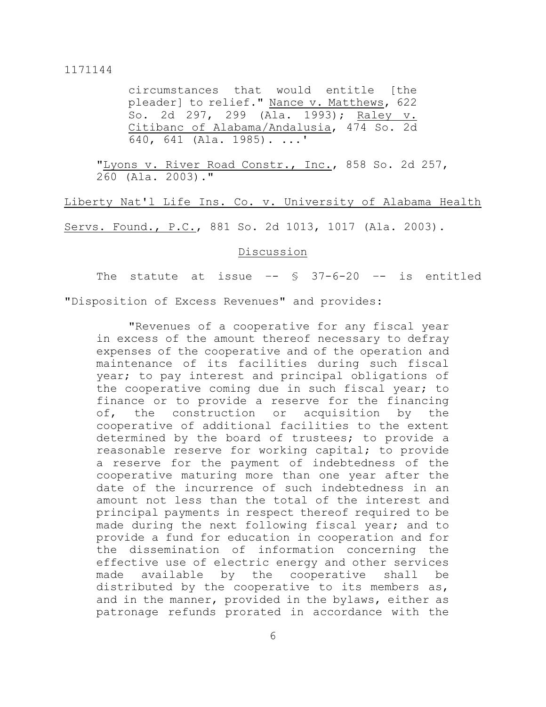circumstances that would entitle [the pleader] to relief." Nance v. Matthews, 622 So. 2d 297, 299 (Ala. 1993); Raley v. Citibanc of Alabama/Andalusia, 474 So. 2d 640, 641 (Ala. 1985). ...'

"Lyons v. River Road Constr., Inc., 858 So. 2d 257, 260 (Ala. 2003)."

Liberty Nat'l Life Ins. Co. v. University of Alabama Health Servs. Found., P.C., 881 So. 2d 1013, 1017 (Ala. 2003).

#### Discussion

The statute at issue  $-5$   $37-6-20$   $-5$  is entitled "Disposition of Excess Revenues" and provides:

"Revenues of a cooperative for any fiscal year in excess of the amount thereof necessary to defray expenses of the cooperative and of the operation and maintenance of its facilities during such fiscal year; to pay interest and principal obligations of the cooperative coming due in such fiscal year; to finance or to provide a reserve for the financing of, the construction or acquisition by the cooperative of additional facilities to the extent determined by the board of trustees; to provide a reasonable reserve for working capital; to provide a reserve for the payment of indebtedness of the cooperative maturing more than one year after the date of the incurrence of such indebtedness in an amount not less than the total of the interest and principal payments in respect thereof required to be made during the next following fiscal year; and to provide a fund for education in cooperation and for the dissemination of information concerning the effective use of electric energy and other services made available by the cooperative shall be distributed by the cooperative to its members as, and in the manner, provided in the bylaws, either as patronage refunds prorated in accordance with the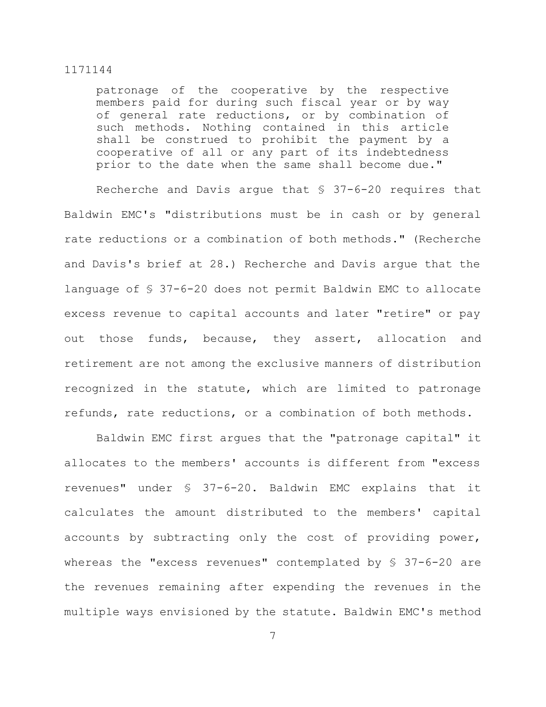patronage of the cooperative by the respective members paid for during such fiscal year or by way of general rate reductions, or by combination of such methods. Nothing contained in this article shall be construed to prohibit the payment by a cooperative of all or any part of its indebtedness prior to the date when the same shall become due."

Recherche and Davis argue that § 37-6-20 requires that Baldwin EMC's "distributions must be in cash or by general rate reductions or a combination of both methods." (Recherche and Davis's brief at 28.) Recherche and Davis argue that the language of § 37-6-20 does not permit Baldwin EMC to allocate excess revenue to capital accounts and later "retire" or pay out those funds, because, they assert, allocation and retirement are not among the exclusive manners of distribution recognized in the statute, which are limited to patronage refunds, rate reductions, or a combination of both methods.

Baldwin EMC first argues that the "patronage capital" it allocates to the members' accounts is different from "excess revenues" under § 37-6-20. Baldwin EMC explains that it calculates the amount distributed to the members' capital accounts by subtracting only the cost of providing power, whereas the "excess revenues" contemplated by § 37-6-20 are the revenues remaining after expending the revenues in the multiple ways envisioned by the statute. Baldwin EMC's method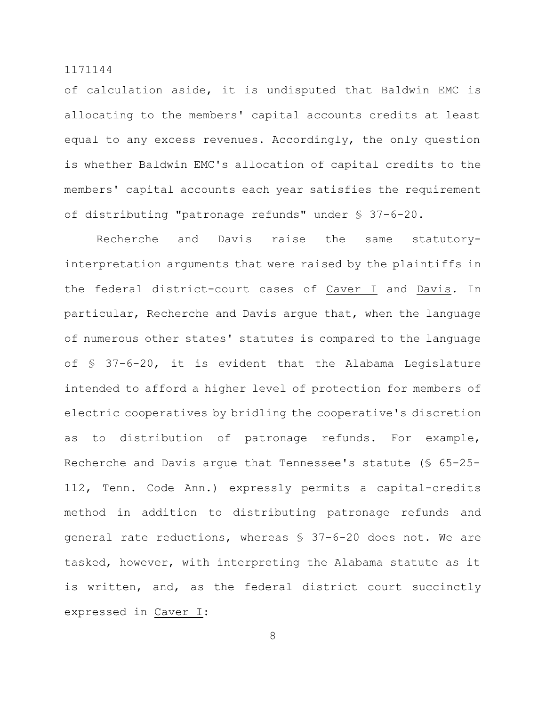of calculation aside, it is undisputed that Baldwin EMC is allocating to the members' capital accounts credits at least equal to any excess revenues. Accordingly, the only question is whether Baldwin EMC's allocation of capital credits to the members' capital accounts each year satisfies the requirement of distributing "patronage refunds" under § 37-6-20.

Recherche and Davis raise the same statutoryinterpretation arguments that were raised by the plaintiffs in the federal district-court cases of Caver I and Davis. In particular, Recherche and Davis argue that, when the language of numerous other states' statutes is compared to the language of § 37-6-20, it is evident that the Alabama Legislature intended to afford a higher level of protection for members of electric cooperatives by bridling the cooperative's discretion as to distribution of patronage refunds. For example, Recherche and Davis argue that Tennessee's statute (§ 65-25- 112, Tenn. Code Ann.) expressly permits a capital-credits method in addition to distributing patronage refunds and general rate reductions, whereas § 37-6-20 does not. We are tasked, however, with interpreting the Alabama statute as it is written, and, as the federal district court succinctly expressed in Caver I: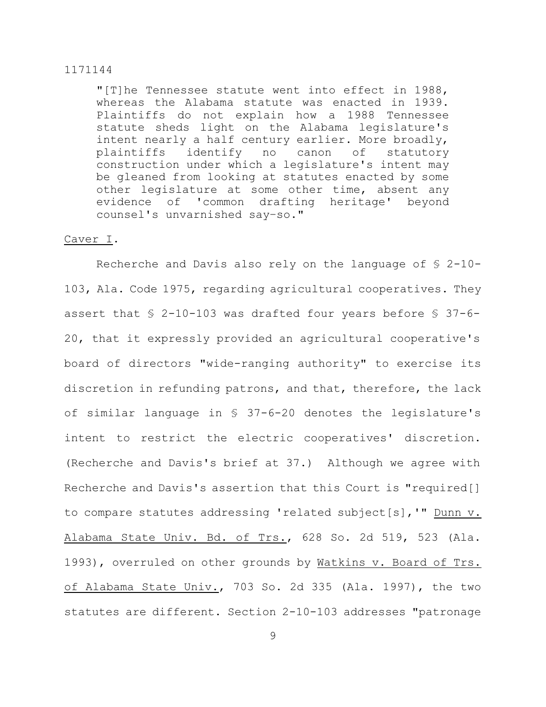"[T]he Tennessee statute went into effect in 1988, whereas the Alabama statute was enacted in 1939. Plaintiffs do not explain how a 1988 Tennessee statute sheds light on the Alabama legislature's intent nearly a half century earlier. More broadly, plaintiffs identify no canon of statutory construction under which a legislature's intent may be gleaned from looking at statutes enacted by some other legislature at some other time, absent any evidence of 'common drafting heritage' beyond counsel's unvarnished say–so."

# Caver I.

Recherche and Davis also rely on the language of § 2-10- 103, Ala. Code 1975, regarding agricultural cooperatives. They assert that § 2-10-103 was drafted four years before § 37-6- 20, that it expressly provided an agricultural cooperative's board of directors "wide-ranging authority" to exercise its discretion in refunding patrons, and that, therefore, the lack of similar language in § 37-6-20 denotes the legislature's intent to restrict the electric cooperatives' discretion. (Recherche and Davis's brief at 37.) Although we agree with Recherche and Davis's assertion that this Court is "required[] to compare statutes addressing 'related subject[s],'" Dunn v. Alabama State Univ. Bd. of Trs., 628 So. 2d 519, 523 (Ala. 1993), overruled on other grounds by Watkins v. Board of Trs. of Alabama State Univ., 703 So. 2d 335 (Ala. 1997), the two statutes are different. Section 2-10-103 addresses "patronage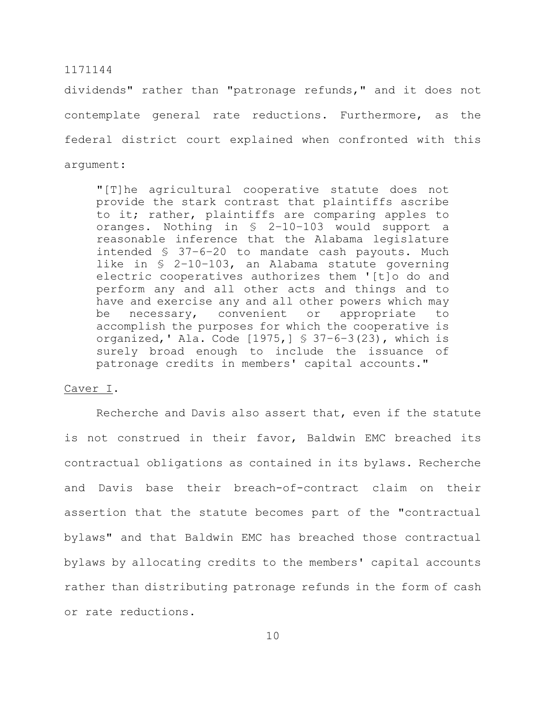dividends" rather than "patronage refunds," and it does not contemplate general rate reductions. Furthermore, as the federal district court explained when confronted with this argument:

"[T]he agricultural cooperative statute does not provide the stark contrast that plaintiffs ascribe to it; rather, plaintiffs are comparing apples to oranges. Nothing in § 2–10–103 would support a reasonable inference that the Alabama legislature intended § 37–6–20 to mandate cash payouts. Much like in § 2–10–103, an Alabama statute governing electric cooperatives authorizes them '[t]o do and perform any and all other acts and things and to have and exercise any and all other powers which may be necessary, convenient or appropriate to accomplish the purposes for which the cooperative is organized,' Ala. Code  $[1975, ]$  § 37-6-3(23), which is surely broad enough to include the issuance of patronage credits in members' capital accounts."

### Caver I.

Recherche and Davis also assert that, even if the statute is not construed in their favor, Baldwin EMC breached its contractual obligations as contained in its bylaws. Recherche and Davis base their breach-of-contract claim on their assertion that the statute becomes part of the "contractual bylaws" and that Baldwin EMC has breached those contractual bylaws by allocating credits to the members' capital accounts rather than distributing patronage refunds in the form of cash or rate reductions.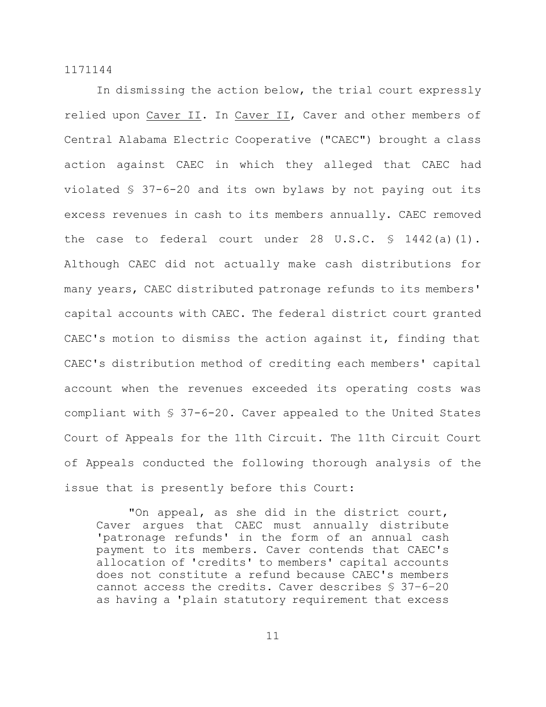In dismissing the action below, the trial court expressly relied upon Caver II. In Caver II, Caver and other members of Central Alabama Electric Cooperative ("CAEC") brought a class action against CAEC in which they alleged that CAEC had violated § 37-6-20 and its own bylaws by not paying out its excess revenues in cash to its members annually. CAEC removed the case to federal court under 28 U.S.C.  $\frac{1442}{a}(1)$ . Although CAEC did not actually make cash distributions for many years, CAEC distributed patronage refunds to its members' capital accounts with CAEC. The federal district court granted CAEC's motion to dismiss the action against it, finding that CAEC's distribution method of crediting each members' capital account when the revenues exceeded its operating costs was compliant with § 37-6-20. Caver appealed to the United States Court of Appeals for the 11th Circuit. The 11th Circuit Court of Appeals conducted the following thorough analysis of the issue that is presently before this Court:

"On appeal, as she did in the district court, Caver argues that CAEC must annually distribute 'patronage refunds' in the form of an annual cash payment to its members. Caver contends that CAEC's allocation of 'credits' to members' capital accounts does not constitute a refund because CAEC's members cannot access the credits. Caver describes § 37–6–20 as having a 'plain statutory requirement that excess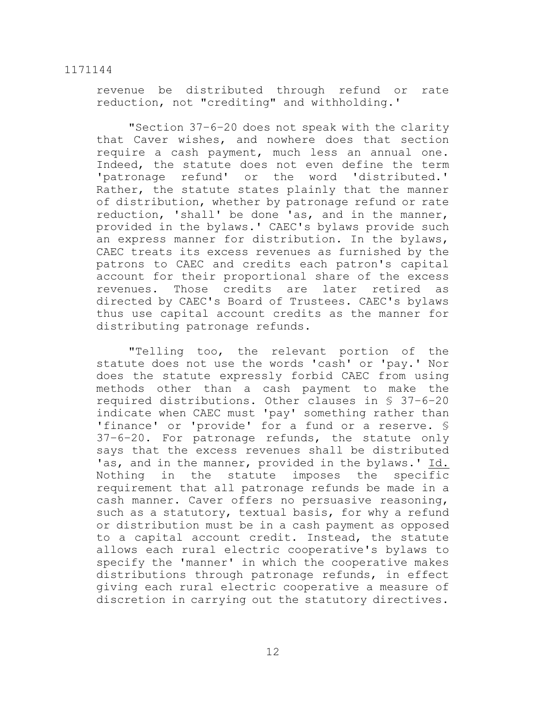revenue be distributed through refund or rate reduction, not "crediting" and withholding.'

"Section 37–6–20 does not speak with the clarity that Caver wishes, and nowhere does that section require a cash payment, much less an annual one. Indeed, the statute does not even define the term 'patronage refund' or the word 'distributed.' Rather, the statute states plainly that the manner of distribution, whether by patronage refund or rate reduction, 'shall' be done 'as, and in the manner, provided in the bylaws.' CAEC's bylaws provide such an express manner for distribution. In the bylaws, CAEC treats its excess revenues as furnished by the patrons to CAEC and credits each patron's capital account for their proportional share of the excess revenues. Those credits are later retired as directed by CAEC's Board of Trustees. CAEC's bylaws thus use capital account credits as the manner for distributing patronage refunds.

"Telling too, the relevant portion of the statute does not use the words 'cash' or 'pay.' Nor does the statute expressly forbid CAEC from using methods other than a cash payment to make the required distributions. Other clauses in § 37–6–20 indicate when CAEC must 'pay' something rather than 'finance' or 'provide' for a fund or a reserve. § 37–6–20. For patronage refunds, the statute only says that the excess revenues shall be distributed 'as, and in the manner, provided in the bylaws.' Id. Nothing in the statute imposes the specific requirement that all patronage refunds be made in a cash manner. Caver offers no persuasive reasoning, such as a statutory, textual basis, for why a refund or distribution must be in a cash payment as opposed to a capital account credit. Instead, the statute allows each rural electric cooperative's bylaws to specify the 'manner' in which the cooperative makes distributions through patronage refunds, in effect giving each rural electric cooperative a measure of discretion in carrying out the statutory directives.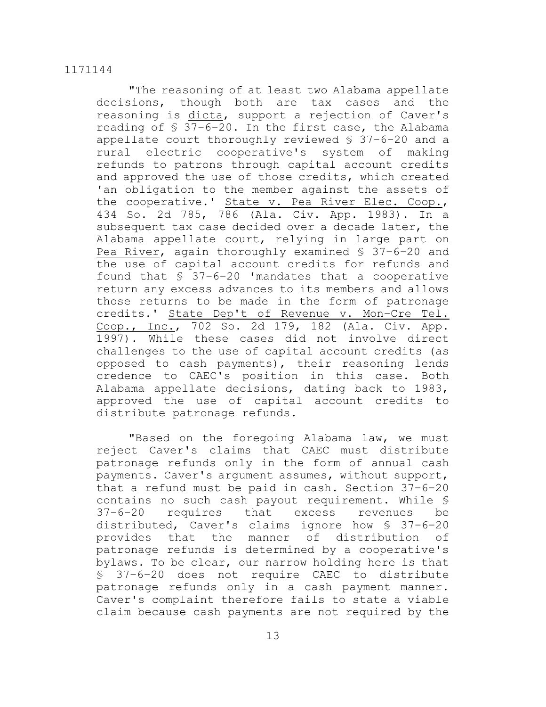"The reasoning of at least two Alabama appellate decisions, though both are tax cases and the reasoning is dicta, support a rejection of Caver's reading of § 37–6–20. In the first case, the Alabama appellate court thoroughly reviewed § 37–6–20 and a rural electric cooperative's system of making refunds to patrons through capital account credits and approved the use of those credits, which created 'an obligation to the member against the assets of the cooperative.' State v. Pea River Elec. Coop., 434 So. 2d 785, 786 (Ala. Civ. App. 1983). In a subsequent tax case decided over a decade later, the Alabama appellate court, relying in large part on Pea River, again thoroughly examined § 37–6–20 and the use of capital account credits for refunds and found that § 37–6–20 'mandates that a cooperative return any excess advances to its members and allows those returns to be made in the form of patronage credits.' State Dep't of Revenue v. Mon–Cre Tel. Coop., Inc., 702 So. 2d 179, 182 (Ala. Civ. App. 1997). While these cases did not involve direct challenges to the use of capital account credits (as opposed to cash payments), their reasoning lends credence to CAEC's position in this case. Both Alabama appellate decisions, dating back to 1983, approved the use of capital account credits to distribute patronage refunds.

"Based on the foregoing Alabama law, we must reject Caver's claims that CAEC must distribute patronage refunds only in the form of annual cash payments. Caver's argument assumes, without support, that a refund must be paid in cash. Section 37–6–20 contains no such cash payout requirement. While § 37–6–20 requires that excess revenues be distributed, Caver's claims ignore how § 37–6–20 provides that the manner of distribution of patronage refunds is determined by a cooperative's bylaws. To be clear, our narrow holding here is that § 37–6–20 does not require CAEC to distribute patronage refunds only in a cash payment manner. Caver's complaint therefore fails to state a viable claim because cash payments are not required by the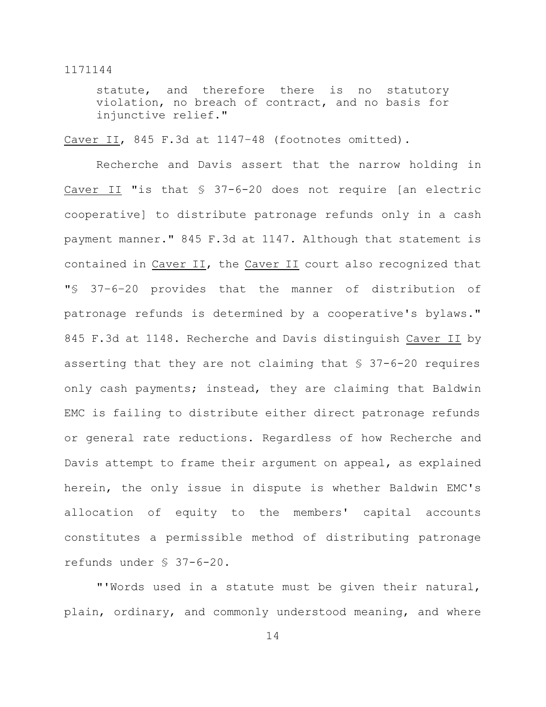statute, and therefore there is no statutory violation, no breach of contract, and no basis for injunctive relief."

Caver II, 845 F.3d at 1147-48 (footnotes omitted).

Recherche and Davis assert that the narrow holding in Caver II "is that § 37-6-20 does not require [an electric cooperative] to distribute patronage refunds only in a cash payment manner." 845 F.3d at 1147. Although that statement is contained in Caver II, the Caver II court also recognized that "§ 37–6–20 provides that the manner of distribution of patronage refunds is determined by a cooperative's bylaws." 845 F.3d at 1148. Recherche and Davis distinguish Caver II by asserting that they are not claiming that § 37-6-20 requires only cash payments; instead, they are claiming that Baldwin EMC is failing to distribute either direct patronage refunds or general rate reductions. Regardless of how Recherche and Davis attempt to frame their argument on appeal, as explained herein, the only issue in dispute is whether Baldwin EMC's allocation of equity to the members' capital accounts constitutes a permissible method of distributing patronage refunds under § 37-6-20.

"'Words used in a statute must be given their natural, plain, ordinary, and commonly understood meaning, and where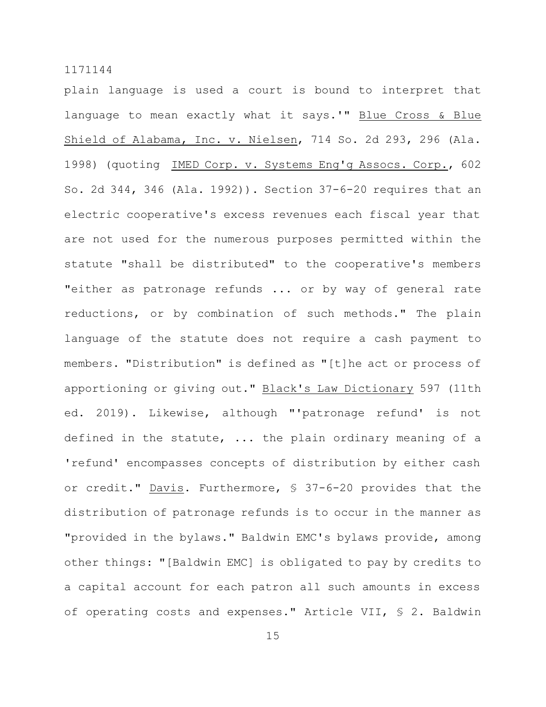plain language is used a court is bound to interpret that language to mean exactly what it says.'" Blue Cross & Blue Shield of Alabama, Inc. v. Nielsen, 714 So. 2d 293, 296 (Ala. 1998) (quoting IMED Corp. v. Systems Eng'g Assocs. Corp., 602 So. 2d 344, 346 (Ala. 1992)). Section 37-6-20 requires that an electric cooperative's excess revenues each fiscal year that are not used for the numerous purposes permitted within the statute "shall be distributed" to the cooperative's members "either as patronage refunds ... or by way of general rate reductions, or by combination of such methods." The plain language of the statute does not require a cash payment to members. "Distribution" is defined as "[t]he act or process of apportioning or giving out." Black's Law Dictionary 597 (11th ed. 2019). Likewise, although "'patronage refund' is not defined in the statute, ... the plain ordinary meaning of a 'refund' encompasses concepts of distribution by either cash or credit." Davis. Furthermore, § 37-6-20 provides that the distribution of patronage refunds is to occur in the manner as "provided in the bylaws." Baldwin EMC's bylaws provide, among other things: "[Baldwin EMC] is obligated to pay by credits to a capital account for each patron all such amounts in excess of operating costs and expenses." Article VII, § 2. Baldwin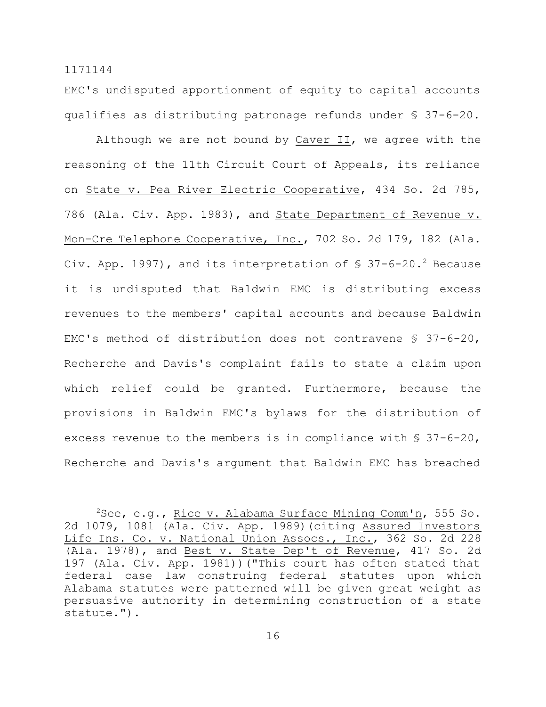EMC's undisputed apportionment of equity to capital accounts qualifies as distributing patronage refunds under § 37-6-20.

Although we are not bound by Caver II, we agree with the reasoning of the 11th Circuit Court of Appeals, its reliance on State v. Pea River Electric Cooperative, 434 So. 2d 785, 786 (Ala. Civ. App. 1983), and State Department of Revenue v. Mon-Cre Telephone Cooperative, Inc., 702 So. 2d 179, 182 (Ala. Civ. App. 1997), and its interpretation of  $$37-6-20.^2$  Because it is undisputed that Baldwin EMC is distributing excess revenues to the members' capital accounts and because Baldwin EMC's method of distribution does not contravene § 37-6-20, Recherche and Davis's complaint fails to state a claim upon which relief could be granted. Furthermore, because the provisions in Baldwin EMC's bylaws for the distribution of excess revenue to the members is in compliance with  $\S$  37-6-20, Recherche and Davis's argument that Baldwin EMC has breached

<sup>&</sup>lt;sup>2</sup>See, e.g., Rice v. Alabama Surface Mining Comm'n, 555 So. 2d 1079, 1081 (Ala. Civ. App. 1989)(citing Assured Investors Life Ins. Co. v. National Union Assocs., Inc., 362 So. 2d 228 (Ala. 1978), and Best v. State Dep't of Revenue, 417 So. 2d 197 (Ala. Civ. App. 1981))("This court has often stated that federal case law construing federal statutes upon which Alabama statutes were patterned will be given great weight as persuasive authority in determining construction of a state statute.").